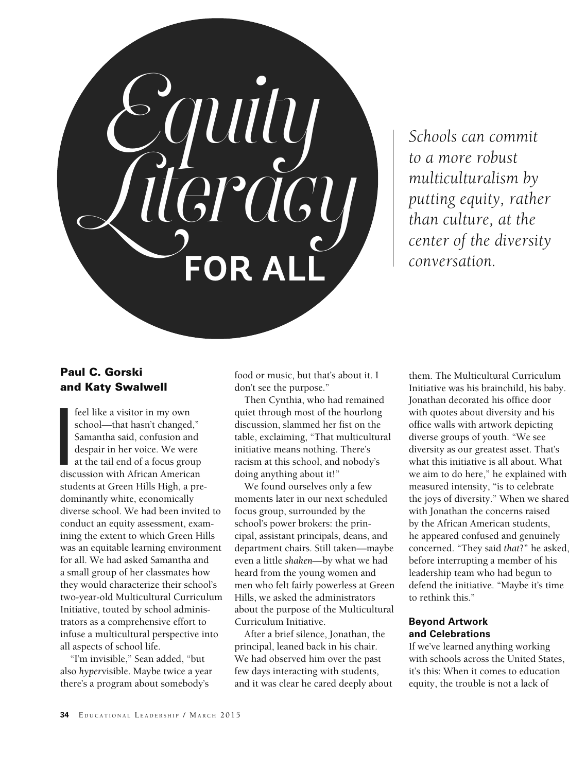

*Schools can commit to a more robust multiculturalism by putting equity, rather than culture, at the center of the diversity conversation.*

# Paul C. Gorski and Katy Swalwell

**I**<br>I<br>Idisc feel like a visitor in my own school—that hasn't changed," Samantha said, confusion and despair in her voice. We were at the tail end of a focus group discussion with African American students at Green Hills High, a predominantly white, economically diverse school. We had been invited to conduct an equity assessment, examining the extent to which Green Hills was an equitable learning environment for all. We had asked Samantha and a small group of her classmates how they would characterize their school's two-year-old Multicultural Curriculum Initiative, touted by school administrators as a comprehensive effort to infuse a multicultural perspective into all aspects of school life.

"I'm invisible," Sean added, "but also *hyper*visible. Maybe twice a year there's a program about somebody's

food or music, but that's about it. I don't see the purpose."

Then Cynthia, who had remained quiet through most of the hourlong discussion, slammed her fist on the table, exclaiming, "That multicultural initiative means nothing. There's racism at this school, and nobody's doing anything about it!"

We found ourselves only a few moments later in our next scheduled focus group, surrounded by the school's power brokers: the principal, assistant principals, deans, and department chairs. Still taken—maybe even a little *shaken*—by what we had heard from the young women and men who felt fairly powerless at Green Hills, we asked the administrators about the purpose of the Multicultural Curriculum Initiative.

After a brief silence, Jonathan, the principal, leaned back in his chair. We had observed him over the past few days interacting with students, and it was clear he cared deeply about them. The Multicultural Curriculum Initiative was his brainchild, his baby. Jonathan decorated his office door with quotes about diversity and his office walls with artwork depicting diverse groups of youth. "We see diversity as our greatest asset. That's what this initiative is all about. What we aim to do here," he explained with measured intensity, "is to celebrate the joys of diversity." When we shared with Jonathan the concerns raised by the African American students, he appeared confused and genuinely concerned. "They said *that*?" he asked, before interrupting a member of his leadership team who had begun to defend the initiative. "Maybe it's time to rethink this."

### **Beyond Artwork and Celebrations**

If we've learned anything working with schools across the United States, it's this: When it comes to education equity, the trouble is not a lack of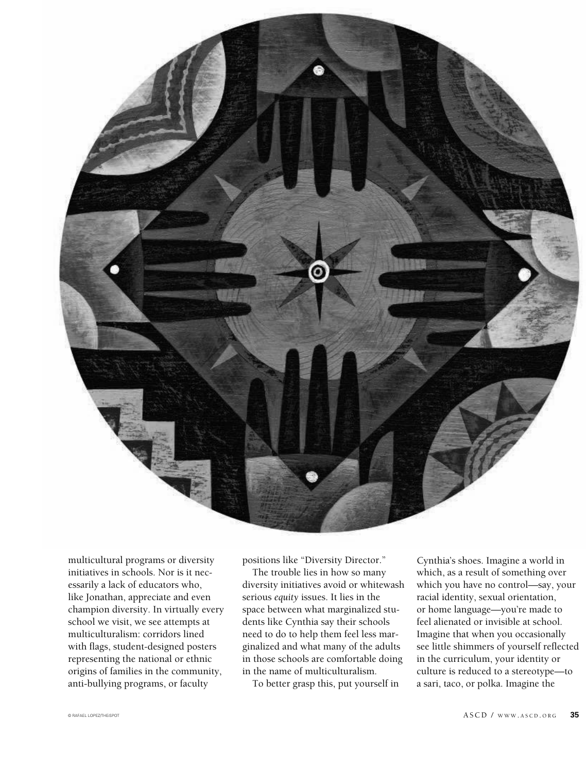

multicultural programs or diversity initiatives in schools. Nor is it necessarily a lack of educators who, like Jonathan, appreciate and even champion diversity. In virtually every school we visit, we see attempts at multiculturalism: corridors lined with flags, student-designed posters representing the national or ethnic origins of families in the community, anti-bullying programs, or faculty

positions like "Diversity Director."

The trouble lies in how so many diversity initiatives avoid or whitewash serious *equity* issues. It lies in the space between what marginalized students like Cynthia say their schools need to do to help them feel less marginalized and what many of the adults in those schools are comfortable doing in the name of multiculturalism.

To better grasp this, put yourself in

Cynthia's shoes. Imagine a world in which, as a result of something over which you have no control—say, your racial identity, sexual orientation, or home language—you're made to feel alienated or invisible at school. Imagine that when you occasionally see little shimmers of yourself reflected in the curriculum, your identity or culture is reduced to a stereotype—to a sari, taco, or polka. Imagine the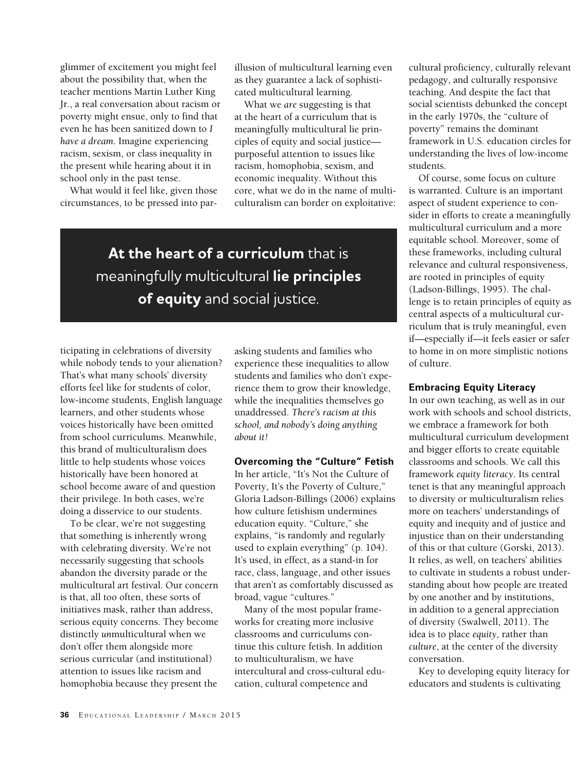glimmer of excitement you might feel about the possibility that, when the teacher mentions Martin Luther King Jr., a real conversation about racism or poverty might ensue, only to find that even he has been sanitized down to *I have a dream*. Imagine experiencing racism, sexism, or class inequality in the present while hearing about it in school only in the past tense.

What would it feel like, given those circumstances, to be pressed into parillusion of multicultural learning even as they guarantee a lack of sophisticated multicultural learning.

What we *are* suggesting is that at the heart of a curriculum that is meaningfully multicultural lie principles of equity and social justice purposeful attention to issues like racism, homophobia, sexism, and economic inequality. Without this core, what we do in the name of multiculturalism can border on exploitative:

**At the heart of a curriculum** that is meaningfully multicultural **lie principles of equity** and social justice.

ticipating in celebrations of diversity while nobody tends to your alienation? That's what many schools' diversity efforts feel like for students of color, low-income students, English language learners, and other students whose voices historically have been omitted from school curriculums. Meanwhile, this brand of multiculturalism does little to help students whose voices historically have been honored at school become aware of and question their privilege. In both cases, we're doing a disservice to our students.

To be clear, we're not suggesting that something is inherently wrong with celebrating diversity. We're not necessarily suggesting that schools abandon the diversity parade or the multicultural art festival. Our concern is that, all too often, these sorts of initiatives mask, rather than address, serious equity concerns. They become distinctly *un*multicultural when we don't offer them alongside more serious curricular (and institutional) attention to issues like racism and homophobia because they present the

asking students and families who experience these inequalities to allow students and families who don't experience them to grow their knowledge, while the inequalities themselves go unaddressed. *There's racism at this school, and nobody's doing anything about it!*

# **Overcoming the "Culture" Fetish**

In her article, "It's Not the Culture of Poverty, It's the Poverty of Culture," Gloria Ladson-Billings (2006) explains how culture fetishism undermines education equity. "Culture," she explains, "is randomly and regularly used to explain everything" (p. 104). It's used, in effect, as a stand-in for race, class, language, and other issues that aren't as comfortably discussed as broad, vague "cultures."

Many of the most popular frameworks for creating more inclusive classrooms and curriculums continue this culture fetish. In addition to multiculturalism, we have intercultural and cross-cultural education, cultural competence and

cultural proficiency, culturally relevant pedagogy, and culturally responsive teaching. And despite the fact that social scientists debunked the concept in the early 1970s, the "culture of poverty" remains the dominant framework in U.S. education circles for understanding the lives of low-income students.

Of course, some focus on culture is warranted. Culture is an important aspect of student experience to consider in efforts to create a meaningfully multicultural curriculum and a more equitable school. Moreover, some of these frameworks, including cultural relevance and cultural responsiveness, are rooted in principles of equity (Ladson-Billings, 1995). The challenge is to retain principles of equity as central aspects of a multicultural curriculum that is truly meaningful, even if—especially if—it feels easier or safer to home in on more simplistic notions of culture.

#### **Embracing Equity Literacy**

In our own teaching, as well as in our work with schools and school districts, we embrace a framework for both multicultural curriculum development and bigger efforts to create equitable classrooms and schools. We call this framework *equity literacy*. Its central tenet is that any meaningful approach to diversity or multiculturalism relies more on teachers' understandings of equity and inequity and of justice and injustice than on their understanding of this or that culture (Gorski, 2013). It relies, as well, on teachers' abilities to cultivate in students a robust understanding about how people are treated by one another and by institutions, in addition to a general appreciation of diversity (Swalwell, 2011). The idea is to place *equity,* rather than *culture*, at the center of the diversity conversation.

Key to developing equity literacy for educators and students is cultivating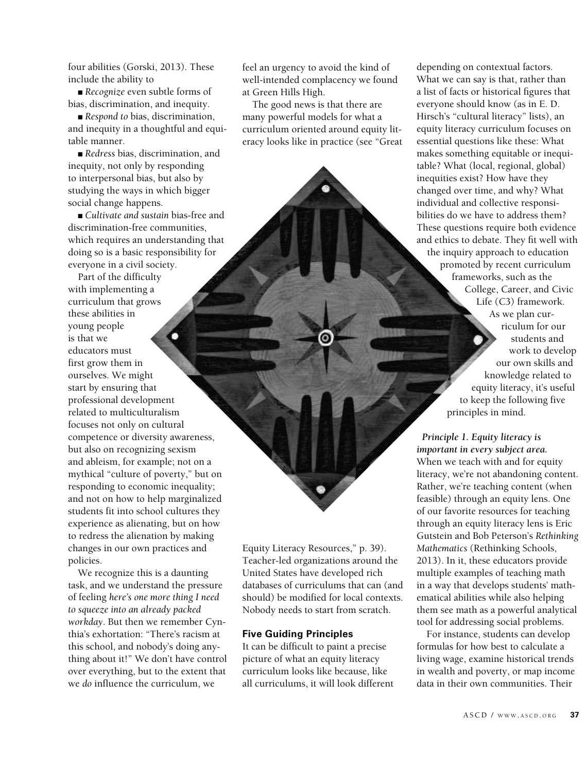four abilities (Gorski, 2013). These include the ability to

<sup>n</sup> *Recognize* even subtle forms of bias, discrimination, and inequity.

<sup>n</sup> *Respond to* bias, discrimination, and inequity in a thoughtful and equitable manner.

<sup>n</sup> *Redress* bias, discrimination, and inequity, not only by responding to interpersonal bias, but also by studying the ways in which bigger social change happens.

<sup>n</sup> *Cultivate and sustain* bias-free and discrimination-free communities, which requires an understanding that doing so is a basic responsibility for everyone in a civil society.

Part of the difficulty with implementing a curriculum that grows these abilities in young people is that we educators must first grow them in ourselves. We might start by ensuring that professional development related to multiculturalism focuses not only on cultural competence or diversity awareness, but also on recognizing sexism and ableism, for example; not on a mythical "culture of poverty," but on responding to economic inequality; and not on how to help marginalized students fit into school cultures they experience as alienating, but on how to redress the alienation by making changes in our own practices and policies.

We recognize this is a daunting task, and we understand the pressure of feeling *here's one more thing I need to squeeze into an already packed workday*. But then we remember Cynthia's exhortation: "There's racism at this school, and nobody's doing anything about it!" We don't have control over everything, but to the extent that we *do* influence the curriculum, we

feel an urgency to avoid the kind of well-intended complacency we found at Green Hills High.

The good news is that there are many powerful models for what a curriculum oriented around equity literacy looks like in practice (see "Great

Equity Literacy Resources," p. 39). Teacher-led organizations around the United States have developed rich databases of curriculums that can (and should) be modified for local contexts. Nobody needs to start from scratch.

#### **Five Guiding Principles**

It can be difficult to paint a precise picture of what an equity literacy curriculum looks like because, like all curriculums, it will look different depending on contextual factors. What we can say is that, rather than a list of facts or historical figures that everyone should know (as in E. D. Hirsch's "cultural literacy" lists), an equity literacy curriculum focuses on essential questions like these: What makes something equitable or inequitable? What (local, regional, global) inequities exist? How have they changed over time, and why? What individual and collective responsibilities do we have to address them? These questions require both evidence and ethics to debate. They fit well with the inquiry approach to education promoted by recent curriculum frameworks, such as the College, Career, and Civic Life (C3) framework. As we plan curriculum for our students and work to develop

our own skills and knowledge related to equity literacy, it's useful to keep the following five principles in mind.

*Principle 1. Equity literacy is important in every subject area.* When we teach with and for equity literacy, we're not abandoning content. Rather, we're teaching content (when feasible) through an equity lens. One of our favorite resources for teaching through an equity literacy lens is Eric Gutstein and Bob Peterson's *Rethinking Mathematics* (Rethinking Schools, 2013). In it, these educators provide multiple examples of teaching math in a way that develops students' mathematical abilities while also helping them see math as a powerful analytical tool for addressing social problems.

For instance, students can develop formulas for how best to calculate a living wage, examine historical trends in wealth and poverty, or map income data in their own communities. Their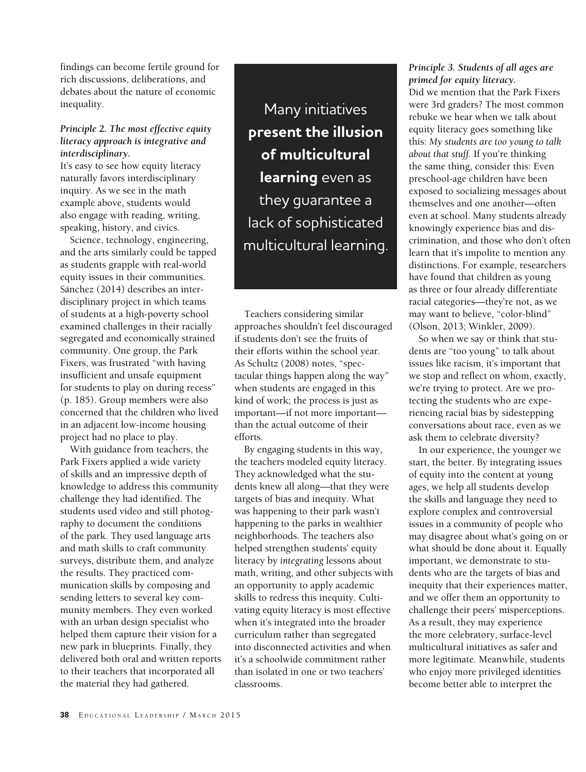findings can become fertile ground for rich discussions, deliberations, and debates about the nature of economic inequality.

#### *Principle 2. The most effective equity literacy approach is integrative and interdisciplinary.*

It's easy to see how equity literacy naturally favors interdisciplinary inquiry. As we see in the math example above, students would also engage with reading, writing, speaking, history, and civics.

Science, technology, engineering, and the arts similarly could be tapped as students grapple with real-world equity issues in their communities. Sánchez (2014) describes an interdisciplinary project in which teams of students at a high-poverty school examined challenges in their racially segregated and economically strained community. One group, the Park Fixers, was frustrated "with having insufficient and unsafe equipment for students to play on during recess" (p. 185). Group members were also concerned that the children who lived in an adjacent low-income housing project had no place to play.

With guidance from teachers, the Park Fixers applied a wide variety of skills and an impressive depth of knowledge to address this community challenge they had identified. The students used video and still photography to document the conditions of the park. They used language arts and math skills to craft community surveys, distribute them, and analyze the results. They practiced communication skills by composing and sending letters to several key community members. They even worked with an urban design specialist who helped them capture their vision for a new park in blueprints. Finally, they delivered both oral and written reports to their teachers that incorporated all the material they had gathered.

Many initiatives **present the illusion of multicultural learning** even as they guarantee a lack of sophisticated multicultural learning.

Teachers considering similar approaches shouldn't feel discouraged if students don't see the fruits of their efforts within the school year. As Schultz (2008) notes, "spectacular things happen along the way" when students are engaged in this kind of work; the process is just as important—if not more important than the actual outcome of their efforts.

By engaging students in this way, the teachers modeled equity literacy. They acknowledged what the students knew all along—that they were targets of bias and inequity. What was happening to their park wasn't happening to the parks in wealthier neighborhoods. The teachers also helped strengthen students' equity literacy by *integrating* lessons about math, writing, and other subjects with an opportunity to apply academic skills to redress this inequity. Cultivating equity literacy is most effective when it's integrated into the broader curriculum rather than segregated into disconnected activities and when it's a schoolwide commitment rather than isolated in one or two teachers' classrooms.

# *Principle 3. Students of all ages are primed for equity literacy.*

Did we mention that the Park Fixers were 3rd graders? The most common rebuke we hear when we talk about equity literacy goes something like this: *My students are too young to talk about that stuff.* If you're thinking the same thing, consider this: Even preschool-age children have been exposed to socializing messages about themselves and one another—often even at school. Many students already knowingly experience bias and discrimination, and those who don't often learn that it's impolite to mention any distinctions. For example, researchers have found that children as young as three or four already differentiate racial categories—they're not, as we may want to believe, "color-blind" (Olson, 2013; Winkler, 2009).

So when we say or think that students are "too young" to talk about issues like racism, it's important that we stop and reflect on whom, exactly, we're trying to protect. Are we protecting the students who are experiencing racial bias by sidestepping conversations about race, even as we ask them to celebrate diversity?

In our experience, the younger we start, the better. By integrating issues of equity into the content at young ages, we help all students develop the skills and language they need to explore complex and controversial issues in a community of people who may disagree about what's going on or what should be done about it. Equally important, we demonstrate to students who are the targets of bias and inequity that their experiences matter, and we offer them an opportunity to challenge their peers' misperceptions. As a result, they may experience the more celebratory, surface-level multicultural initiatives as safer and more legitimate. Meanwhile, students who enjoy more privileged identities become better able to interpret the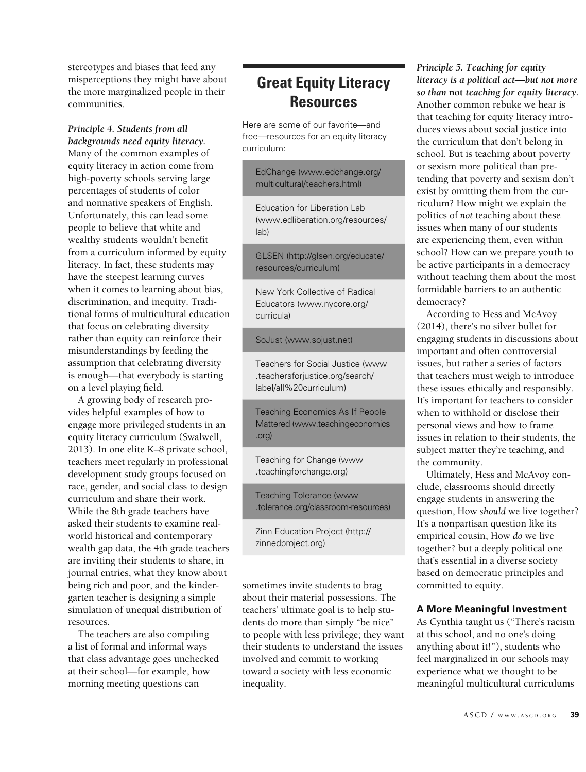stereotypes and biases that feed any misperceptions they might have about the more marginalized people in their communities.

*Principle 4. Students from all backgrounds need equity literacy.* Many of the common examples of equity literacy in action come from high-poverty schools serving large percentages of students of color and nonnative speakers of English. Un fortunately, this can lead some people to believe that white and wealthy students wouldn't benefit from a curriculum informed by equity literacy. In fact, these students may have the steepest learning curves when it comes to learning about bias, discrimination, and inequity. Traditional forms of multicultural education that focus on celebrating diversity rather than equity can reinforce their misunderstandings by feeding the assumption that celebrating diversity is enough—that everybody is starting on a level playing field.

A growing body of research provides helpful examples of how to engage more privileged students in an equity literacy curriculum (Swalwell, 2013). In one elite K–8 private school, teachers meet regularly in professional development study groups focused on race, gender, and social class to design curriculum and share their work. While the 8th grade teachers have asked their students to examine realworld historical and contemporary wealth gap data, the 4th grade teachers are inviting their students to share, in journal entries, what they know about being rich and poor, and the kindergarten teacher is designing a simple simulation of unequal distribution of resources.

The teachers are also compiling a list of formal and informal ways that class advantage goes unchecked at their school—for example, how morning meeting questions can

# **Great Equity Literacy Resources**

Here are some of our favorite—and free—resources for an equity literacy curriculum:

EdChange (www.edchange.org/ multicultural/teachers.html)

Education for Liberation Lab (www.edliberation.org/resources/ lab)

GLSEN (http://glsen.org/educate/ resources/curriculum)

New York Collective of Radical Educators (www.nycore.org/ curricula)

SoJust (www.sojust.net)

Teachers for Social Justice (www .teachersforjustice.org/search/ label/all%20curriculum)

Teaching Economics As If People Mattered (www.teachingeconomics .org)

Teaching for Change (www .teachingforchange.org)

Teaching Tolerance (www .tolerance.org/classroom-resources)

Zinn Education Project (http:// zinnedproject.org)

sometimes invite students to brag about their material possessions. The teachers' ultimate goal is to help students do more than simply "be nice" to people with less privilege; they want their students to understand the issues involved and commit to working toward a society with less economic inequality.

*Principle 5. Teaching for equity literacy is a political act—but not more so than* **not** *teaching for equity literacy.* Another common rebuke we hear is that teaching for equity literacy introduces views about social justice into the curriculum that don't belong in school. But is teaching about poverty or sexism more political than pretending that poverty and sexism don't exist by omitting them from the curriculum? How might we explain the politics of *not* teaching about these issues when many of our students are experiencing them*,* even within school? How can we prepare youth to be active participants in a democracy without teaching them about the most formidable barriers to an authentic democracy?

According to Hess and McAvoy (2014), there's no silver bullet for engaging students in discussions about important and often controversial issues, but rather a series of factors that teachers must weigh to introduce these issues ethically and responsibly. It's important for teachers to consider when to withhold or disclose their personal views and how to frame issues in relation to their students, the subject matter they're teaching, and the community.

Ultimately, Hess and McAvoy conclude, classrooms should directly engage students in answering the question, How *should* we live together? It's a nonpartisan question like its empirical cousin, How *do* we live together? but a deeply political one that's essential in a diverse society based on democratic principles and committed to equity.

#### **A More Meaningful Investment**

As Cynthia taught us ("There's racism at this school, and no one's doing anything about it!"), students who feel marginalized in our schools may experience what we thought to be meaningful multicultural curriculums